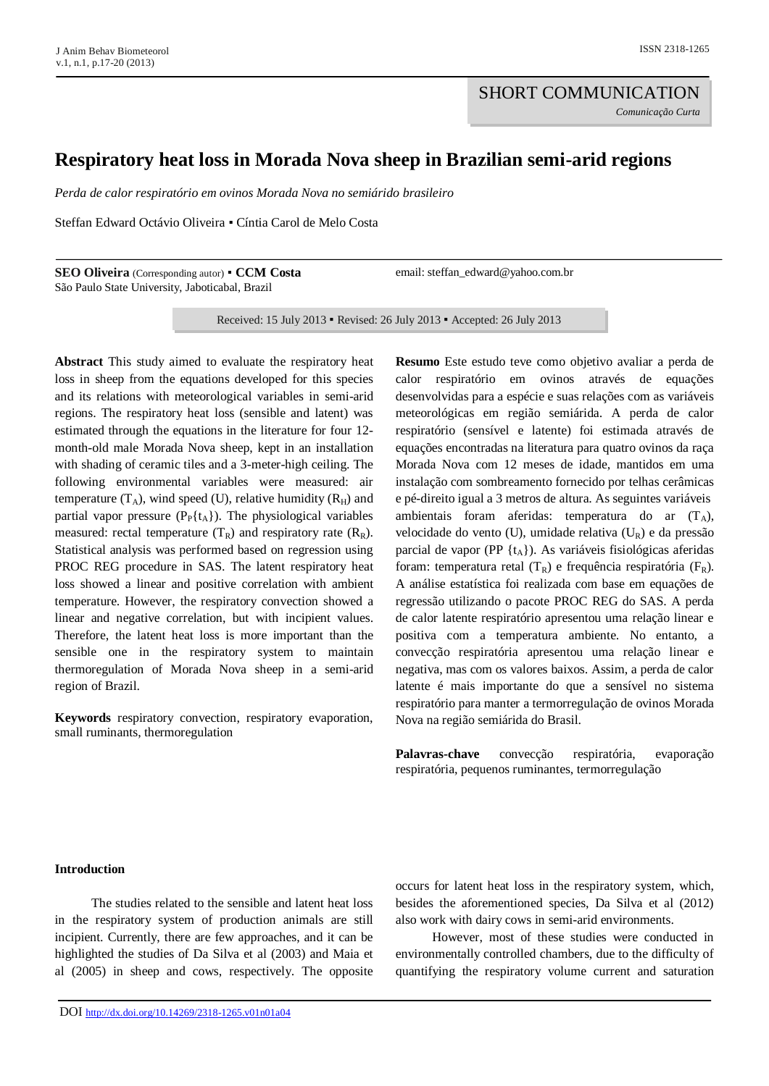# **Respiratory heat loss in Morada Nova sheep in Brazilian semi-arid regions**

*Perda de calor respiratório em ovinos Morada Nova no semiárido brasileiro*

Steffan Edward Octávio Oliveira ▪ Cíntia Carol de Melo Costa

**SEO Oliveira** (Corresponding autor) ▪ **CCM Costa** São Paulo State University, Jaboticabal, Brazil

email: steffan\_edward@yahoo.com.br

Received: 15 July 2013 ▪ Revised: 26 July 2013 ▪ Accepted: 26 July 2013

**Abstract** This study aimed to evaluate the respiratory heat loss in sheep from the equations developed for this species and its relations with meteorological variables in semi-arid regions. The respiratory heat loss (sensible and latent) was estimated through the equations in the literature for four 12 month-old male Morada Nova sheep, kept in an installation with shading of ceramic tiles and a 3-meter-high ceiling. The following environmental variables were measured: air temperature  $(T_A)$ , wind speed (U), relative humidity  $(R_H)$  and partial vapor pressure  $(P_P{t_A})$ . The physiological variables measured: rectal temperature  $(T_R)$  and respiratory rate  $(R_R)$ . Statistical analysis was performed based on regression using PROC REG procedure in SAS. The latent respiratory heat loss showed a linear and positive correlation with ambient temperature. However, the respiratory convection showed a linear and negative correlation, but with incipient values. Therefore, the latent heat loss is more important than the sensible one in the respiratory system to maintain thermoregulation of Morada Nova sheep in a semi-arid region of Brazil.

**Keywords** respiratory convection, respiratory evaporation, small ruminants, thermoregulation

**Resumo** Este estudo teve como objetivo avaliar a perda de calor respiratório em ovinos através de equações desenvolvidas para a espécie e suas relações com as variáveis meteorológicas em região semiárida. A perda de calor respiratório (sensível e latente) foi estimada através de equações encontradas na literatura para quatro ovinos da raça Morada Nova com 12 meses de idade, mantidos em uma instalação com sombreamento fornecido por telhas cerâmicas e pé-direito igual a 3 metros de altura. As seguintes variáveis ambientais foram aferidas: temperatura do ar  $(T_A)$ , velocidade do vento (U), umidade relativa (UR) e da pressão parcial de vapor (PP  $\{t_A\}$ ). As variáveis fisiológicas aferidas foram: temperatura retal  $(T_R)$  e frequência respiratória  $(F_R)$ . A análise estatística foi realizada com base em equações de regressão utilizando o pacote PROC REG do SAS. A perda de calor latente respiratório apresentou uma relação linear e positiva com a temperatura ambiente. No entanto, a convecção respiratória apresentou uma relação linear e negativa, mas com os valores baixos. Assim, a perda de calor latente é mais importante do que a sensível no sistema respiratório para manter a termorregulação de ovinos Morada Nova na região semiárida do Brasil.

**Palavras-chave** convecção respiratória, evaporação respiratória, pequenos ruminantes, termorregulação

# **Introduction**

The studies related to the sensible and latent heat loss in the respiratory system of production animals are still incipient. Currently, there are few approaches, and it can be highlighted the studies of Da Silva et al (2003) and Maia et al (2005) in sheep and cows, respectively. The opposite occurs for latent heat loss in the respiratory system, which, besides the aforementioned species, Da Silva et al (2012) also work with dairy cows in semi-arid environments.

However, most of these studies were conducted in environmentally controlled chambers, due to the difficulty of quantifying the respiratory volume current and saturation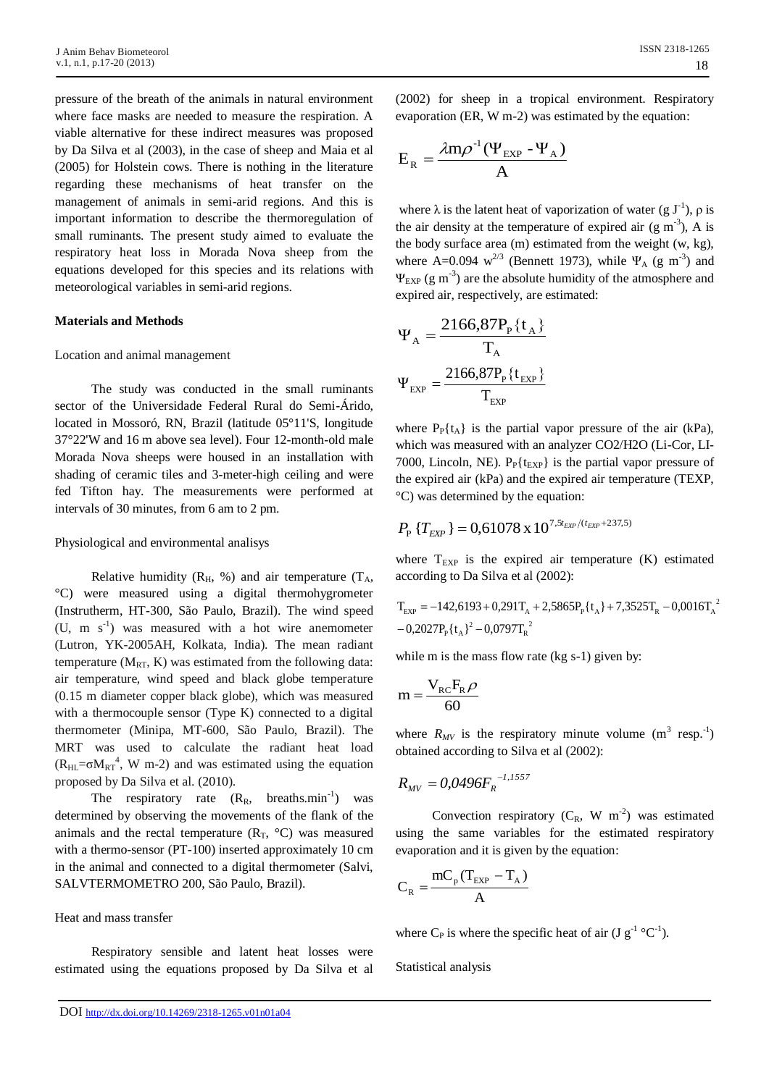pressure of the breath of the animals in natural environment where face masks are needed to measure the respiration. A viable alternative for these indirect measures was proposed by Da Silva et al (2003), in the case of sheep and Maia et al (2005) for Holstein cows. There is nothing in the literature regarding these mechanisms of heat transfer on the management of animals in semi-arid regions. And this is important information to describe the thermoregulation of small ruminants. The present study aimed to evaluate the respiratory heat loss in Morada Nova sheep from the equations developed for this species and its relations with meteorological variables in semi-arid regions.

## **Materials and Methods**

#### Location and animal management

The study was conducted in the small ruminants sector of the Universidade Federal Rural do Semi-Árido, located in Mossoró, RN, Brazil (latitude 05°11'S, longitude 37°22'W and 16 m above sea level). Four 12-month-old male Morada Nova sheeps were housed in an installation with shading of ceramic tiles and 3-meter-high ceiling and were fed Tifton hay. The measurements were performed at intervals of 30 minutes, from 6 am to 2 pm.

#### Physiological and environmental analisys

Relative humidity ( $R_H$ , %) and air temperature ( $T_A$ , °C) were measured using a digital thermohygrometer (Instrutherm, HT-300, São Paulo, Brazil). The wind speed  $(U, m s<sup>-1</sup>)$  was measured with a hot wire anemometer (Lutron, YK-2005AH, Kolkata, India). The mean radiant temperature  $(M_{RT}, K)$  was estimated from the following data: air temperature, wind speed and black globe temperature (0.15 m diameter copper black globe), which was measured with a thermocouple sensor (Type K) connected to a digital thermometer (Minipa, MT-600, São Paulo, Brazil). The MRT was used to calculate the radiant heat load  $(R<sub>HL</sub>=\sigma M<sub>RT</sub><sup>4</sup>, W m-2)$  and was estimated using the equation proposed by Da Silva et al. (2010).

The respiratory rate  $(R_R, breakismin^{-1})$  was determined by observing the movements of the flank of the animals and the rectal temperature  $(R_T, {}^{\circ}C)$  was measured with a thermo-sensor (PT-100) inserted approximately 10 cm in the animal and connected to a digital thermometer (Salvi, SALVTERMOMETRO 200, São Paulo, Brazil).

Heat and mass transfer

Respiratory sensible and latent heat losses were estimated using the equations proposed by Da Silva et al

(2002) for sheep in a tropical environment. Respiratory evaporation (ER, W m-2) was estimated by the equation:

$$
E_R = \frac{\lambda m \rho^{-1} (\Psi_{EXP} - \Psi_A)}{A}
$$

where  $\lambda$  is the latent heat of vaporization of water (g  $J^{-1}$ ),  $\rho$  is the air density at the temperature of expired air  $(g m<sup>-3</sup>)$ , A is the body surface area (m) estimated from the weight (w, kg), where A=0.094  $w^{2/3}$  (Bennett 1973), while  $\Psi_A$  (g m<sup>-3</sup>) and  $\Psi_{\rm EXP}$  (g m<sup>-3</sup>) are the absolute humidity of the atmosphere and expired air, respectively, are estimated:

$$
\Psi_{A} = \frac{2166,87P_{P}\{t_{A}\}}{T_{A}}
$$

$$
\Psi_{EXP} = \frac{2166,87P_{P}\{t_{EXP}\}}{T_{EXP}}
$$

where  $P_P{t_A}$  is the partial vapor pressure of the air (kPa), which was measured with an analyzer CO2/H2O (Li-Cor, LI-7000, Lincoln, NE).  $P_P\{t_{EXP}\}\$ is the partial vapor pressure of the expired air (kPa) and the expired air temperature (TEXP, °C) was determined by the equation:

$$
P_{\rm P} \{T_{\rm EXP} \}=0,61078 \,{\rm x}\, 10^{7,5t_{\rm EXP}/(t_{\rm EXP}+237,5)}
$$

where  $T_{EXP}$  is the expired air temperature  $(K)$  estimated according to Da Silva et al (2002):

$$
T_{EXP} = -142,6193 + 0,291T_A + 2,5865P_P\{t_A\} + 7,3525T_R - 0,0016T_A^2 - 0,2027P_P\{t_A\}^2 - 0,0797T_R^2
$$

while m is the mass flow rate (kg s-1) given by:

$$
m = \frac{V_{\rm RC}F_{\rm R}\rho}{60}
$$

where  $R_{MV}$  is the respiratory minute volume  $(m^3 \text{ resp.}^{-1})$ obtained according to Silva et al (2002):

$$
R_{\scriptscriptstyle MV} = 0.0496 F_{\scriptscriptstyle R}^{\ \, -1.1557}
$$

Convection respiratory  $(C_R, W \, m^{-2})$  was estimated using the same variables for the estimated respiratory evaporation and it is given by the equation:

$$
C_{R} = \frac{mC_{p}(T_{EXP} - T_{A})}{A}
$$

where C<sub>P</sub> is where the specific heat of air (J  $g^{-1}$  °C<sup>-1</sup>).

Statistical analysis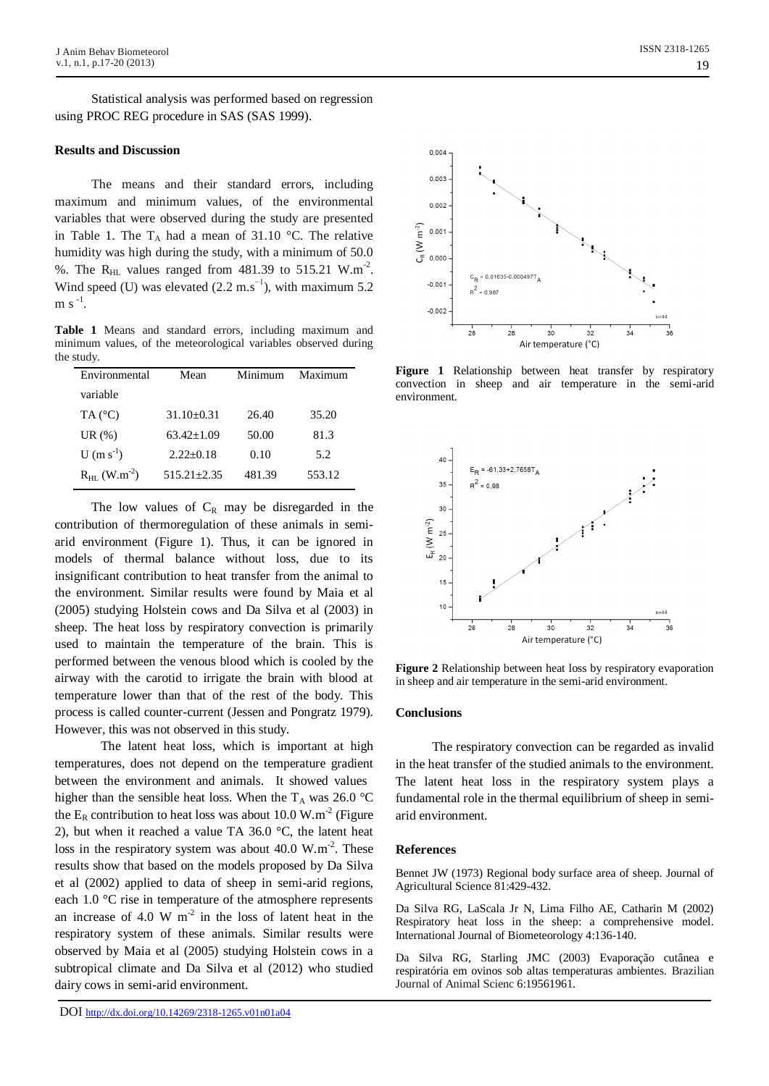Statistical analysis was performed based on regression using PROC REG procedure in SAS (SAS 1999).

# **Results and Discussion**

The means and their standard errors, including maximum and minimum values, of the environmental variables that were observed during the study are presented in Table 1. The  $T_A$  had a mean of 31.10 °C. The relative humidity was high during the study, with a minimum of 50.0 %. The R<sub>HL</sub> values ranged from  $481.39$  to  $515.21$  W.m<sup>-2</sup>. Wind speed (U) was elevated  $(2.2 \text{ m.s}^{-1})$ , with maximum 5.2  $m s^{-1}$ .

**Table 1** Means and standard errors, including maximum and minimum values, of the meteorological variables observed during the study.

| Environmental                     | Mean            | Minimum | Maximum |
|-----------------------------------|-----------------|---------|---------|
| variable                          |                 |         |         |
| TA $(^{\circ}C)$                  | $31.10\pm0.31$  | 26.40   | 35.20   |
| UR $(\%)$                         | $63.42 + 1.09$  | 50.00   | 81.3    |
| $U(m s^{-1})$                     | $2.22+0.18$     | 0.10    | 5.2     |
| $R_{\rm HL}$ (W.m <sup>-2</sup> ) | $515.21 + 2.35$ | 481.39  | 553.12  |

The low values of  $C_R$  may be disregarded in the contribution of thermoregulation of these animals in semiarid environment (Figure 1). Thus, it can be ignored in models of thermal balance without loss, due to its insignificant contribution to heat transfer from the animal to the environment. Similar results were found by Maia et al (2005) studying Holstein cows and Da Silva et al (2003) in sheep. The heat loss by respiratory convection is primarily used to maintain the temperature of the brain. This is performed between the venous blood which is cooled by the airway with the carotid to irrigate the brain with blood at temperature lower than that of the rest of the body. This process is called counter-current (Jessen and Pongratz 1979). However, this was not observed in this study.

The latent heat loss, which is important at high temperatures, does not depend on the temperature gradient between the environment and animals. It showed values higher than the sensible heat loss. When the T<sub>A</sub> was 26.0 °C the  $E_R$  contribution to heat loss was about 10.0 W.m<sup>-2</sup> (Figure 2), but when it reached a value TA 36.0 °C, the latent heat loss in the respiratory system was about  $40.0 \text{ W.m}^{-2}$ . These results show that based on the models proposed by Da Silva et al (2002) applied to data of sheep in semi-arid regions, each 1.0 °C rise in temperature of the atmosphere represents an increase of 4.0 W  $m<sup>2</sup>$  in the loss of latent heat in the respiratory system of these animals. Similar results were observed by Maia et al (2005) studying Holstein cows in a subtropical climate and Da Silva et al (2012) who studied dairy cows in semi-arid environment.



**Figure 1** Relationship between heat transfer by respiratory convection in sheep and air temperature in the semi-arid environment.



**Figure 2** Relationship between heat loss by respiratory evaporation in sheep and air temperature in the semi-arid environment.

## **Conclusions**

The respiratory convection can be regarded as invalid in the heat transfer of the studied animals to the environment. The latent heat loss in the respiratory system plays a fundamental role in the thermal equilibrium of sheep in semiarid environment.

## **References**

Bennet JW (1973) Regional body surface area of sheep. Journal of Agricultural Science 81:429-432.

Da Silva RG, LaScala Jr N, Lima Filho AE, Catharin M (2002) Respiratory heat loss in the sheep: a comprehensive model*.*  International Journal of Biometeorology 4:136-140.

Da Silva RG, Starling JMC (2003) Evaporação cutânea e respiratória em ovinos sob altas temperaturas ambientes. Brazilian Journal of Animal Scienc 6:19561961.